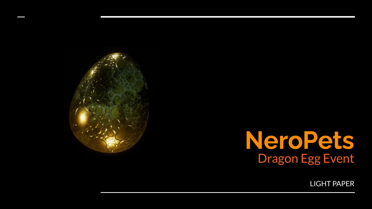

### **NeroPets** Dragon Egg Event

LIGHT PAPER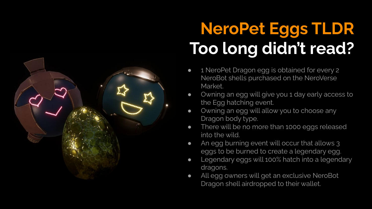

## **NeroPet Eggs TLDR Too long didn't read?**

- 1 NeroPet Dragon egg is obtained for every 2 NeroBot shells purchased on the NeroVerse Market.
- Owning an egg will give you 1 day early access to the Egg hatching event.
- Owning an egg will allow you to choose any Dragon body type.
- There will be no more than 1000 eggs released into the wild.
- An egg burning event will occur that allows 3 eggs to be burned to create a legendary egg.
- Legendary eggs will 100% hatch into a legendary dragons.
- All egg owners will get an exclusive NeroBot Dragon shell airdropped to their wallet.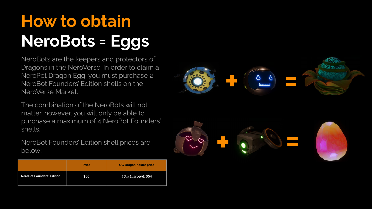## **How to obtain NeroBots = Eggs**

NeroBots are the keepers and protectors of Dragons in the NeroVerse. In order to claim a NeroPet Dragon Egg, you must purchase 2 NeroBot Founders' Edition shells on the NeroVerse Market.

The combination of the NeroBots will not matter, however, you will only be able to purchase a maximum of 4 NeroBot Founders' shells.

NeroBot Founders' Edition shell prices are below:

|                                  | <b>Price</b> | <b>OG Dragon holder price</b> |
|----------------------------------|--------------|-------------------------------|
| <b>NeroBot Founders' Edition</b> | \$60         | 10% Discount: \$54            |



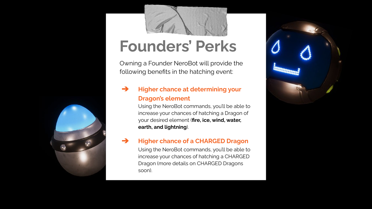

#### **Founders' Perks**

Owning a Founder NeroBot will provide the following benefits in the hatching event:

#### ➔ **Higher chance at determining your Dragon's element**

Using the NeroBot commands, you'll be able to increase your chances of hatching a Dragon of your desired element (**fire, ice, wind, water, earth, and lightning**).

#### ➔ **Higher chance of a CHARGED Dragon**

Using the NeroBot commands, you'll be able to increase your chances of hatching a CHARGED Dragon (more details on CHARGED Dragons soon).



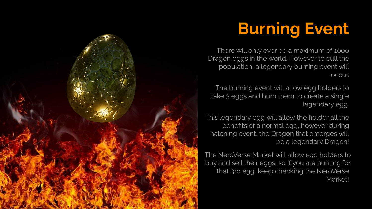### **Burning Event**

There will only ever be a maximum of 1000 Dragon eggs in the world. However to cull the population, a legendary burning event will occur.

The burning event will allow egg holders to take 3 eggs and burn them to create a single legendary egg.

This legendary egg will allow the holder all the benefits of a normal egg, however during hatching event, the Dragon that emerges will be a legendary Dragon!

The NeroVerse Market will allow egg holders to buy and sell their eggs, so if you are hunting for that 3rd egg, keep checking the NeroVerse Market!

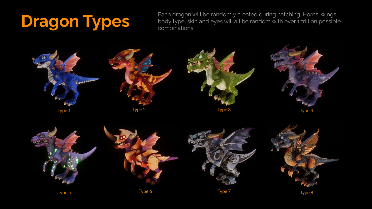Each dragon will be randomly created during hatching. Horns, wings,<br>body type, skin and eyes will all be random with over 1 trillion possible<br>combinations. body type, skin and eyes will all be random with over 1 trillion possible combinations.

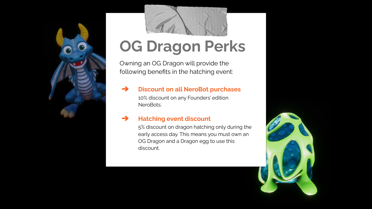



### **OG Dragon Perks**

Owning an OG Dragon will provide the following benefits in the hatching event:

#### ➔ **Discount on all NeroBot purchases**

10% discount on any Founders' edition **NeroBots** 

#### ➔ **Hatching event discount**

5% discount on dragon hatching only during the early access day. This means you must own an OG Dragon and a Dragon egg to use this discount.